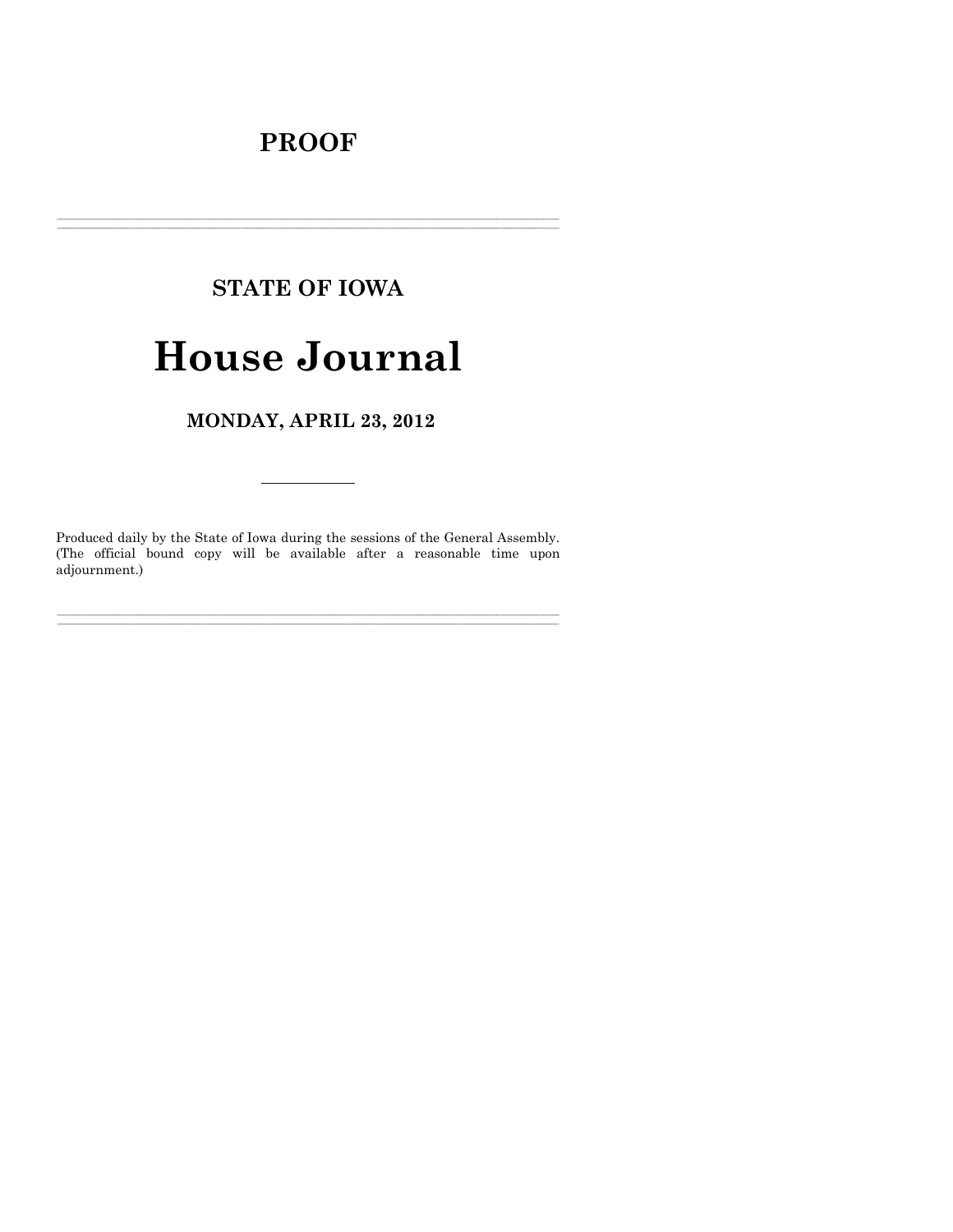# **PROOF**

# **STATE OF IOWA**

# **House Journal**

MONDAY, APRIL 23, 2012

Produced daily by the State of Iowa during the sessions of the General Assembly. (The official bound copy will be available after a reasonable time upon adjournment.)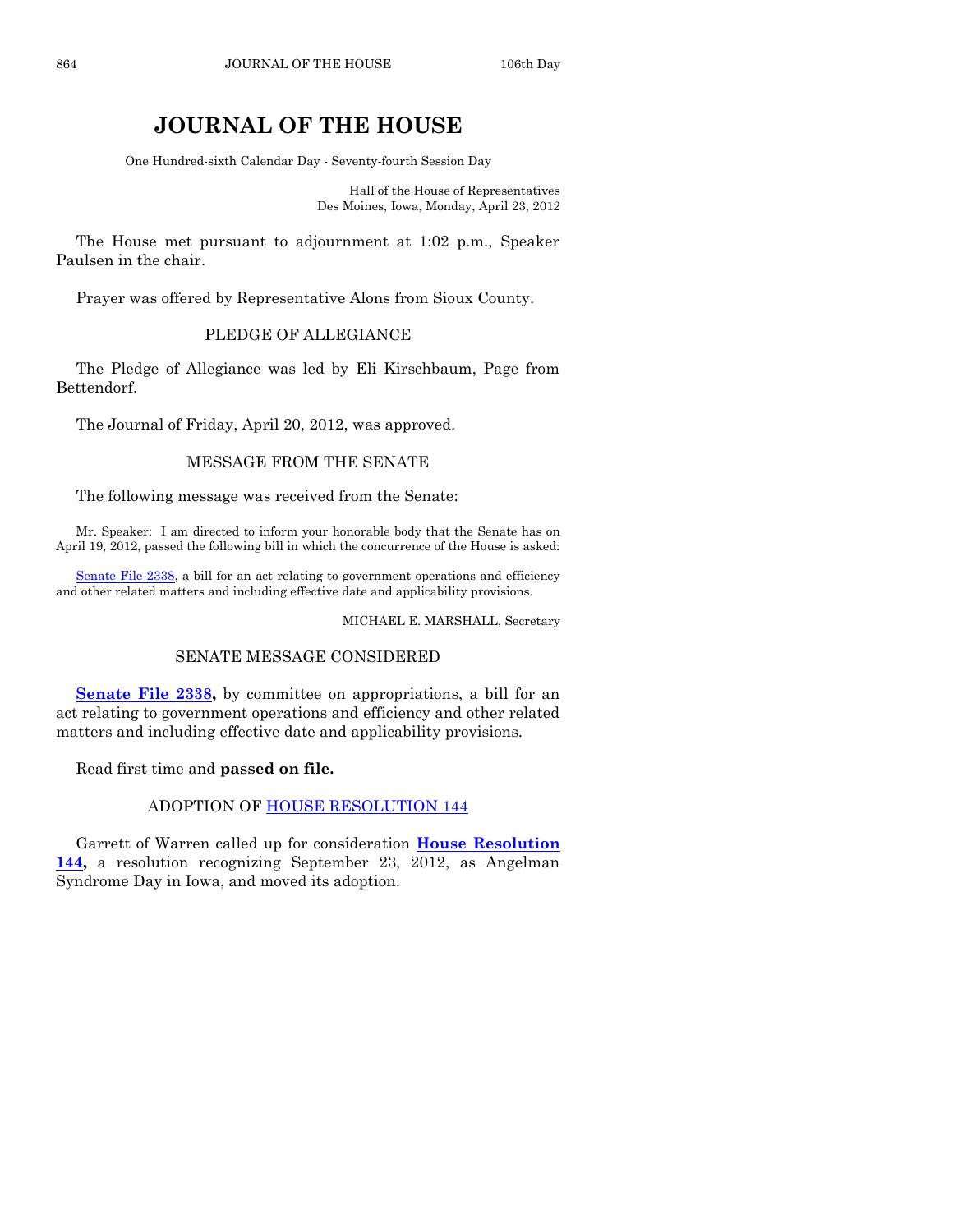# **JOURNAL OF THE HOUSE**

One Hundred-sixth Calendar Day - Seventy-fourth Session Day

Hall of the House of Representatives Des Moines, Iowa, Monday, April 23, 2012

The House met pursuant to adjournment at 1:02 p.m., Speaker Paulsen in the chair.

Prayer was offered by Representative Alons from Sioux County.

# PLEDGE OF ALLEGIANCE

The Pledge of Allegiance was led by Eli Kirschbaum, Page from Bettendorf.

The Journal of Friday, April 20, 2012, was approved.

# MESSAGE FROM THE SENATE

The following message was received from the Senate:

Mr. Speaker: I am directed to inform your honorable body that the Senate has on April 19, 2012, passed the following bill in which the concurrence of the House is asked:

[Senate File 2338,](http://coolice.legis.state.ia.us/Cool-ICE/default.asp?Category=billinfo&Service=Billbook&frame=1&GA=84&hbill=SF2338) a bill for an act relating to government operations and efficiency and other related matters and including effective date and applicability provisions.

MICHAEL E. MARSHALL, Secretary

# SENATE MESSAGE CONSIDERED

**[Senate File 2338,](http://coolice.legis.state.ia.us/Cool-ICE/default.asp?Category=billinfo&Service=Billbook&frame=1&GA=84&hbill=SF2338)** by committee on appropriations, a bill for an act relating to government operations and efficiency and other related matters and including effective date and applicability provisions.

Read first time and **passed on file.**

ADOPTION OF [HOUSE RESOLUTION 144](http://coolice.legis.state.ia.us/Cool-ICE/default.asp?Category=billinfo&Service=Billbook&frame=1&GA=84&hbill=HR144)

Garrett of Warren called up for consideration **[House Resolution](http://coolice.legis.state.ia.us/Cool-ICE/default.asp?Category=billinfo&Service=Billbook&frame=1&GA=84&hbill=HR144)  [144,](http://coolice.legis.state.ia.us/Cool-ICE/default.asp?Category=billinfo&Service=Billbook&frame=1&GA=84&hbill=HR144)** a resolution recognizing September 23, 2012, as Angelman Syndrome Day in Iowa, and moved its adoption.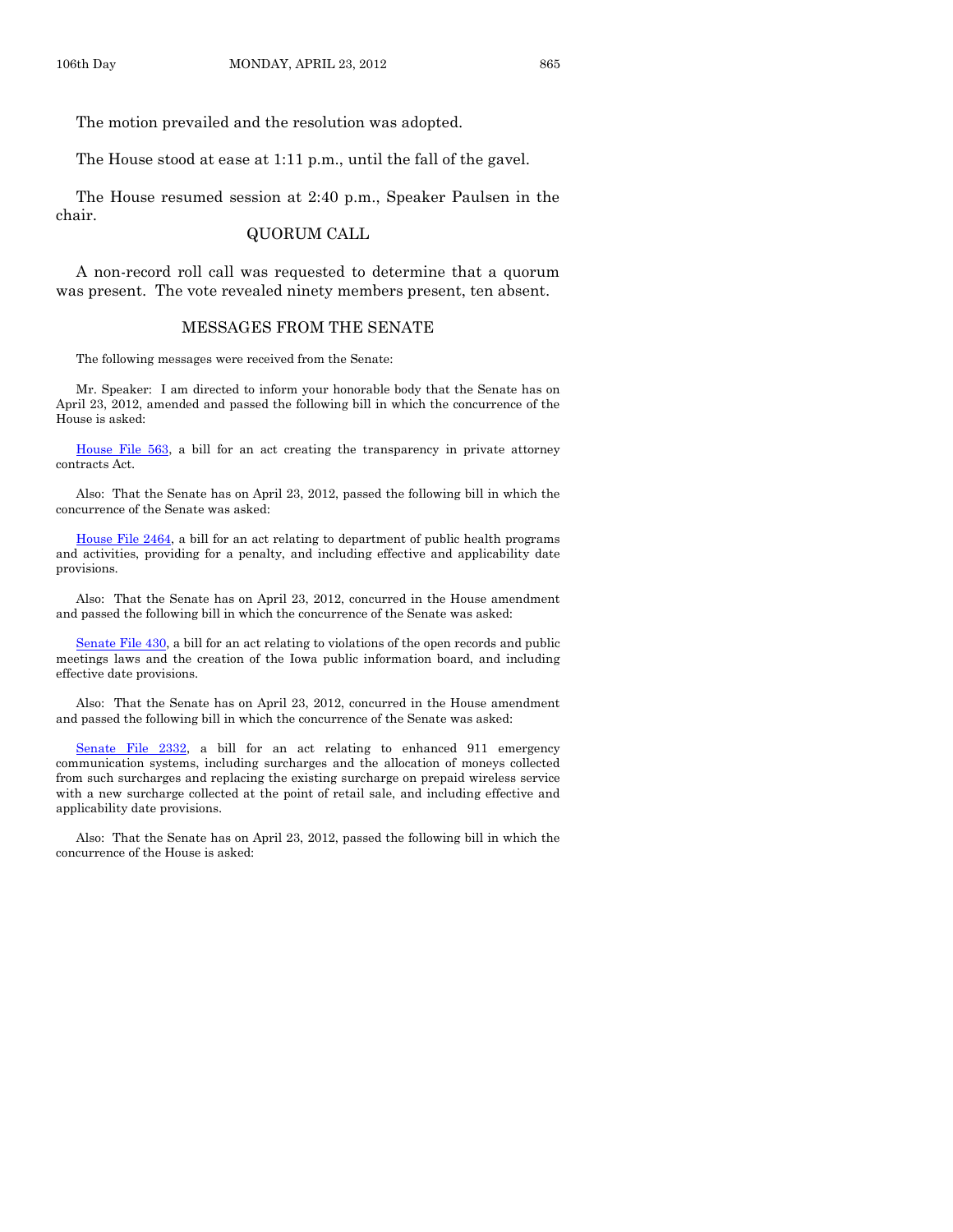The motion prevailed and the resolution was adopted.

The House stood at ease at 1:11 p.m., until the fall of the gavel.

The House resumed session at 2:40 p.m., Speaker Paulsen in the chair.

### QUORUM CALL

A non-record roll call was requested to determine that a quorum was present. The vote revealed ninety members present, ten absent.

#### MESSAGES FROM THE SENATE

The following messages were received from the Senate:

Mr. Speaker: I am directed to inform your honorable body that the Senate has on April 23, 2012, amended and passed the following bill in which the concurrence of the House is asked:

[House File 563,](http://coolice.legis.state.ia.us/Cool-ICE/default.asp?Category=billinfo&Service=Billbook&frame=1&GA=84&hbill=HF563) a bill for an act creating the transparency in private attorney contracts Act.

Also: That the Senate has on April 23, 2012, passed the following bill in which the concurrence of the Senate was asked:

[House File 2464,](http://coolice.legis.state.ia.us/Cool-ICE/default.asp?Category=billinfo&Service=Billbook&frame=1&GA=84&hbill=HF2464) a bill for an act relating to department of public health programs and activities, providing for a penalty, and including effective and applicability date provisions.

Also: That the Senate has on April 23, 2012, concurred in the House amendment and passed the following bill in which the concurrence of the Senate was asked:

[Senate File 430,](http://coolice.legis.state.ia.us/Cool-ICE/default.asp?Category=billinfo&Service=Billbook&frame=1&GA=84&hbill=SF430) a bill for an act relating to violations of the open records and public meetings laws and the creation of the Iowa public information board, and including effective date provisions.

Also: That the Senate has on April 23, 2012, concurred in the House amendment and passed the following bill in which the concurrence of the Senate was asked:

[Senate File 2332,](http://coolice.legis.state.ia.us/Cool-ICE/default.asp?Category=billinfo&Service=Billbook&frame=1&GA=84&hbill=SF2332) a bill for an act relating to enhanced 911 emergency communication systems, including surcharges and the allocation of moneys collected from such surcharges and replacing the existing surcharge on prepaid wireless service with a new surcharge collected at the point of retail sale, and including effective and applicability date provisions.

Also: That the Senate has on April 23, 2012, passed the following bill in which the concurrence of the House is asked: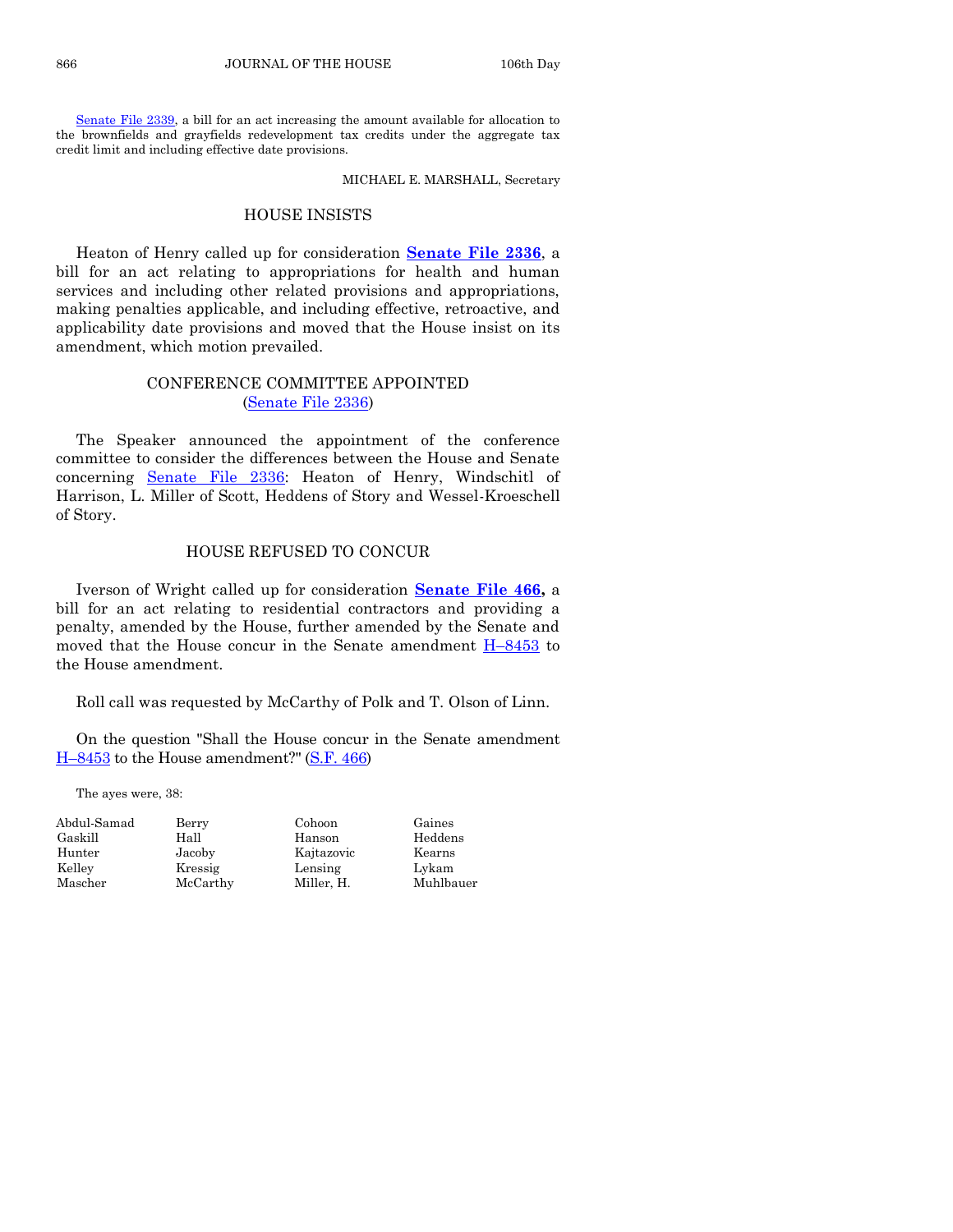[Senate File 2339,](http://coolice.legis.state.ia.us/Cool-ICE/default.asp?Category=billinfo&Service=Billbook&frame=1&GA=84&hbill=SF2339) a bill for an act increasing the amount available for allocation to the brownfields and grayfields redevelopment tax credits under the aggregate tax credit limit and including effective date provisions.

MICHAEL E. MARSHALL, Secretary

#### HOUSE INSISTS

Heaton of Henry called up for consideration **[Senate File 2336](http://coolice.legis.state.ia.us/Cool-ICE/default.asp?Category=billinfo&Service=Billbook&frame=1&GA=84&hbill=SF2336)**, a bill for an act relating to appropriations for health and human services and including other related provisions and appropriations, making penalties applicable, and including effective, retroactive, and applicability date provisions and moved that the House insist on its amendment, which motion prevailed.

# CONFERENCE COMMITTEE APPOINTED [\(Senate File 2336\)](http://coolice.legis.state.ia.us/Cool-ICE/default.asp?Category=billinfo&Service=Billbook&frame=1&GA=84&hbill=SF2336)

The Speaker announced the appointment of the conference committee to consider the differences between the House and Senate concerning [Senate File 2336:](http://coolice.legis.state.ia.us/Cool-ICE/default.asp?Category=billinfo&Service=Billbook&frame=1&GA=84&hbill=SF2336) Heaton of Henry, Windschitl of Harrison, L. Miller of Scott, Heddens of Story and Wessel-Kroeschell of Story.

# HOUSE REFUSED TO CONCUR

Iverson of Wright called up for consideration **[Senate File 466,](http://coolice.legis.state.ia.us/Cool-ICE/default.asp?Category=billinfo&Service=Billbook&frame=1&GA=84&hbill=SF466)** a bill for an act relating to residential contractors and providing a penalty, amended by the House, further amended by the Senate and moved that the House concur in the Senate amendment  $H-8453$  $H-8453$  to the House amendment.

Roll call was requested by McCarthy of Polk and T. Olson of Linn.

On the question "Shall the House concur in the Senate amendment H–[8453](http://coolice.legis.state.ia.us/Cool-ICE/default.asp?Category=billinfo&Service=Billbook&frame=1&GA=84&hbill=H8453) to the House amendment?" [\(S.F. 466\)](http://coolice.legis.state.ia.us/Cool-ICE/default.asp?Category=billinfo&Service=Billbook&frame=1&GA=84&hbill=SF466)

The ayes were, 38:

| Berry    | Cohoon     | Gaines |
|----------|------------|--------|
| Hall     | Hanson     | Hedder |
| Jacoby   | Kajtazovic | Kearns |
| Kressig  | Lensing    | Lykam  |
| McCarthy | Miller. H. | Muhlba |
|          |            |        |

Hall Hanson Heddens Jacoby Kajtazovic Kearns Kressig Lensing Lykam

McCarthy Miller, H. Muhlbauer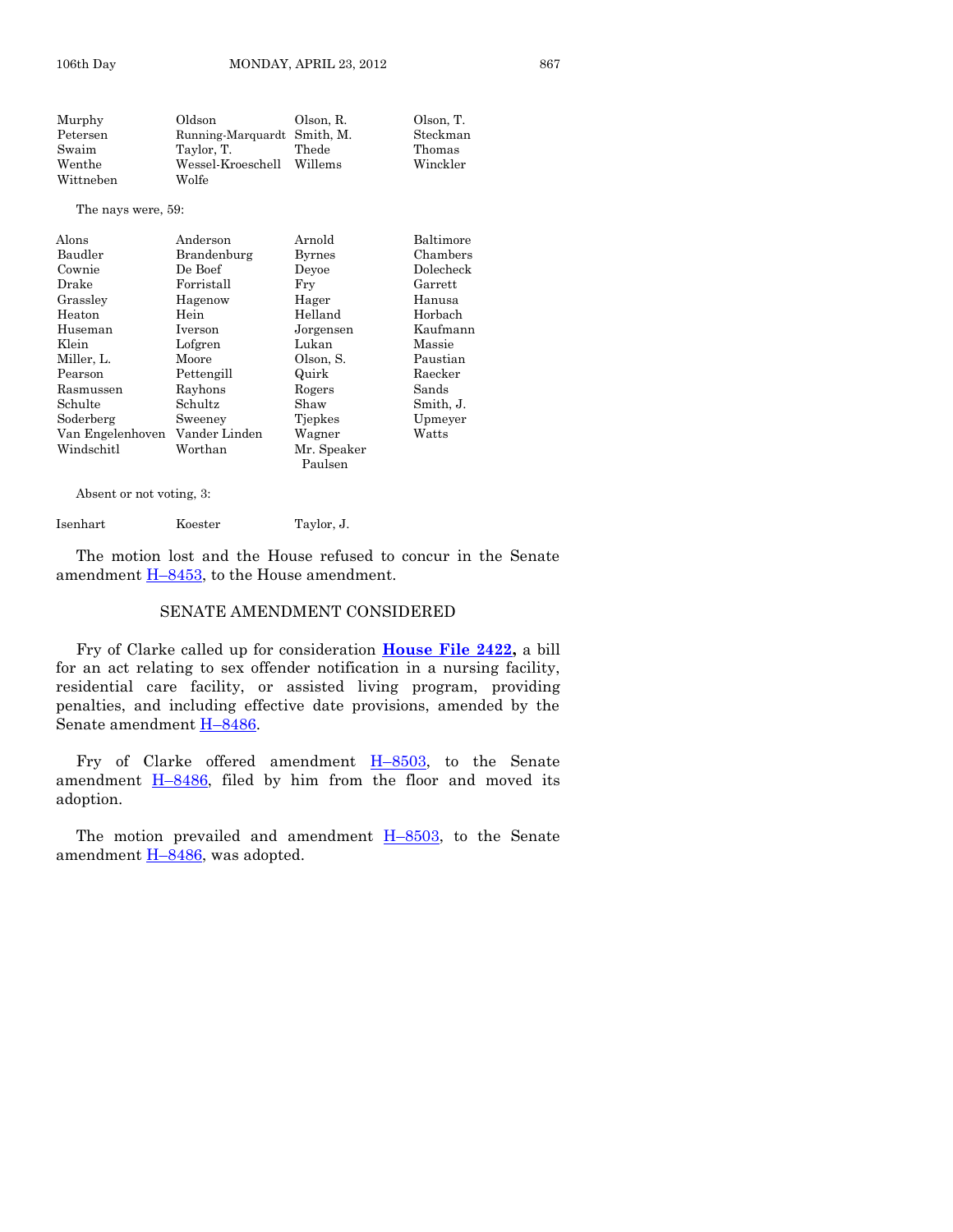| Murphy    | Oldson                      | Olson, R. | Olson. T. |
|-----------|-----------------------------|-----------|-----------|
| Petersen  | Running-Marquardt Smith, M. |           | Steckman  |
| Swaim     | Taylor. T.                  | Thede     | Thomas    |
| Wenthe    | Wessel-Kroeschell           | Willems   | Winckler  |
| Wittneben | Wolfe                       |           |           |
|           |                             |           |           |

The nays were, 59:

| Alons            | Anderson      | Arnold        | Baltimore |
|------------------|---------------|---------------|-----------|
| Baudler          | Brandenburg   | <b>Byrnes</b> | Chambers  |
| Cownie           | De Boef       | Devoe         | Dolecheck |
| Drake            | Forristall    | Fry           | Garrett   |
| Grassley         | Hagenow       | Hager         | Hanusa    |
| Heaton           | Hein          | Helland       | Horbach   |
| Huseman          | Iverson       | Jorgensen     | Kaufmann  |
| Klein            | Lofgren       | Lukan         | Massie    |
| Miller, L.       | Moore         | Olson, S.     | Paustian  |
| Pearson          | Pettengill    | Quirk         | Raecker   |
| Rasmussen        | Rayhons       | Rogers        | Sands     |
| Schulte          | Schultz       | Shaw          | Smith, J. |
| Soderberg        | Sweeney       | Tiepkes       | Upmeyer   |
| Van Engelenhoven | Vander Linden | Wagner        | Watts     |
| Windschitl       | Worthan       | Mr. Speaker   |           |
|                  |               | Paulsen       |           |

Absent or not voting, 3:

Isenhart Koester Taylor, J.

The motion lost and the House refused to concur in the Senate amendment H–[8453,](http://coolice.legis.state.ia.us/Cool-ICE/default.asp?Category=billinfo&Service=Billbook&frame=1&GA=84&hbill=H8453) to the House amendment.

#### SENATE AMENDMENT CONSIDERED

Fry of Clarke called up for consideration **[House File 2422,](http://coolice.legis.state.ia.us/Cool-ICE/default.asp?Category=billinfo&Service=Billbook&frame=1&GA=84&hbill=HF2422)** a bill for an act relating to sex offender notification in a nursing facility, residential care facility, or assisted living program, providing penalties, and including effective date provisions, amended by the Senate amendment H–[8486.](http://coolice.legis.state.ia.us/Cool-ICE/default.asp?Category=billinfo&Service=Billbook&frame=1&GA=84&hbill=H8486)

Fry of Clarke offered amendment H–[8503,](http://coolice.legis.state.ia.us/Cool-ICE/default.asp?Category=billinfo&Service=Billbook&frame=1&GA=84&hbill=H8503) to the Senate amendment  $H-8486$ , filed by him from the floor and moved its adoption.

The motion prevailed and amendment  $H-8503$ , to the Senate amendment  $H-8486$ , was adopted.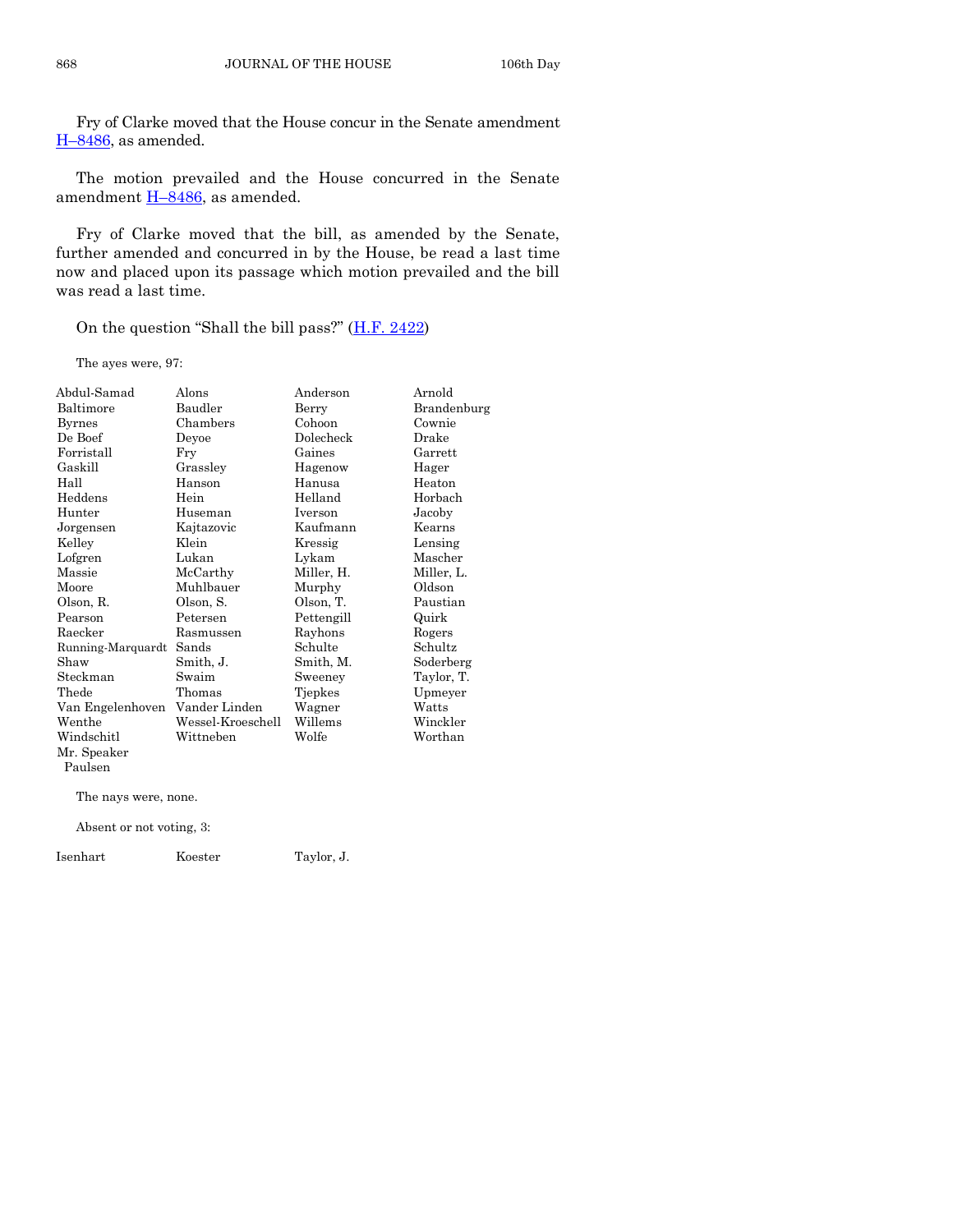Fry of Clarke moved that the House concur in the Senate amendment H–[8486,](http://coolice.legis.state.ia.us/Cool-ICE/default.asp?Category=billinfo&Service=Billbook&frame=1&GA=84&hbill=H8486) as amended.

The motion prevailed and the House concurred in the Senate amendment  $H-8486$ , as amended.

Fry of Clarke moved that the bill, as amended by the Senate, further amended and concurred in by the House, be read a last time now and placed upon its passage which motion prevailed and the bill was read a last time.

On the question "Shall the bill pass?" ([H.F. 2422\)](http://coolice.legis.state.ia.us/Cool-ICE/default.asp?Category=billinfo&Service=Billbook&frame=1&GA=84&hbill=HF2422)

The ayes were, 97:

| Abdul-Samad       | Alons             | Anderson       | Arnold      |
|-------------------|-------------------|----------------|-------------|
| Baltimore         | Baudler           | Berry          | Brandenburg |
| <b>Byrnes</b>     | Chambers          | Cohoon         | Cownie      |
| De Boef           | Deyoe             | Dolecheck      | Drake       |
| Forristall        | Fry               | Gaines         | Garrett     |
| Gaskill           | Grassley          | Hagenow        | Hager       |
| Hall              | Hanson            | Hanusa         | Heaton      |
| Heddens           | Hein              | Helland        | Horbach     |
| Hunter            | Huseman           | <b>Iverson</b> | Jacoby      |
| Jorgensen         | Kajtazovic        | Kaufmann       | Kearns      |
| Kelley            | Klein             | Kressig        | Lensing     |
| Lofgren           | Lukan             | Lykam          | Mascher     |
| Massie            | McCarthy          | Miller, H.     | Miller, L.  |
| Moore             | Muhlbauer         | Murphy         | Oldson      |
| Olson, R.         | Olson, S.         | Olson, T.      | Paustian    |
| Pearson           | Petersen          | Pettengill     | Quirk       |
| Raecker           | Rasmussen         | Rayhons        | Rogers      |
| Running-Marquardt | Sands             | Schulte        | Schultz     |
| Shaw              | Smith, J.         | Smith, M.      | Soderberg   |
| Steckman          | Swaim             | Sweeney        | Taylor, T.  |
| Thede             | Thomas            | Tjepkes        | Upmeyer     |
| Van Engelenhoven  | Vander Linden     | Wagner         | Watts       |
| Wenthe            | Wessel-Kroeschell | Willems        | Winckler    |
| Windschitl        | Wittneben         | Wolfe          | Worthan     |
| Mr. Speaker       |                   |                |             |
| Paulsen           |                   |                |             |

The nays were, none.

Absent or not voting, 3:

Isenhart Koester Taylor, J.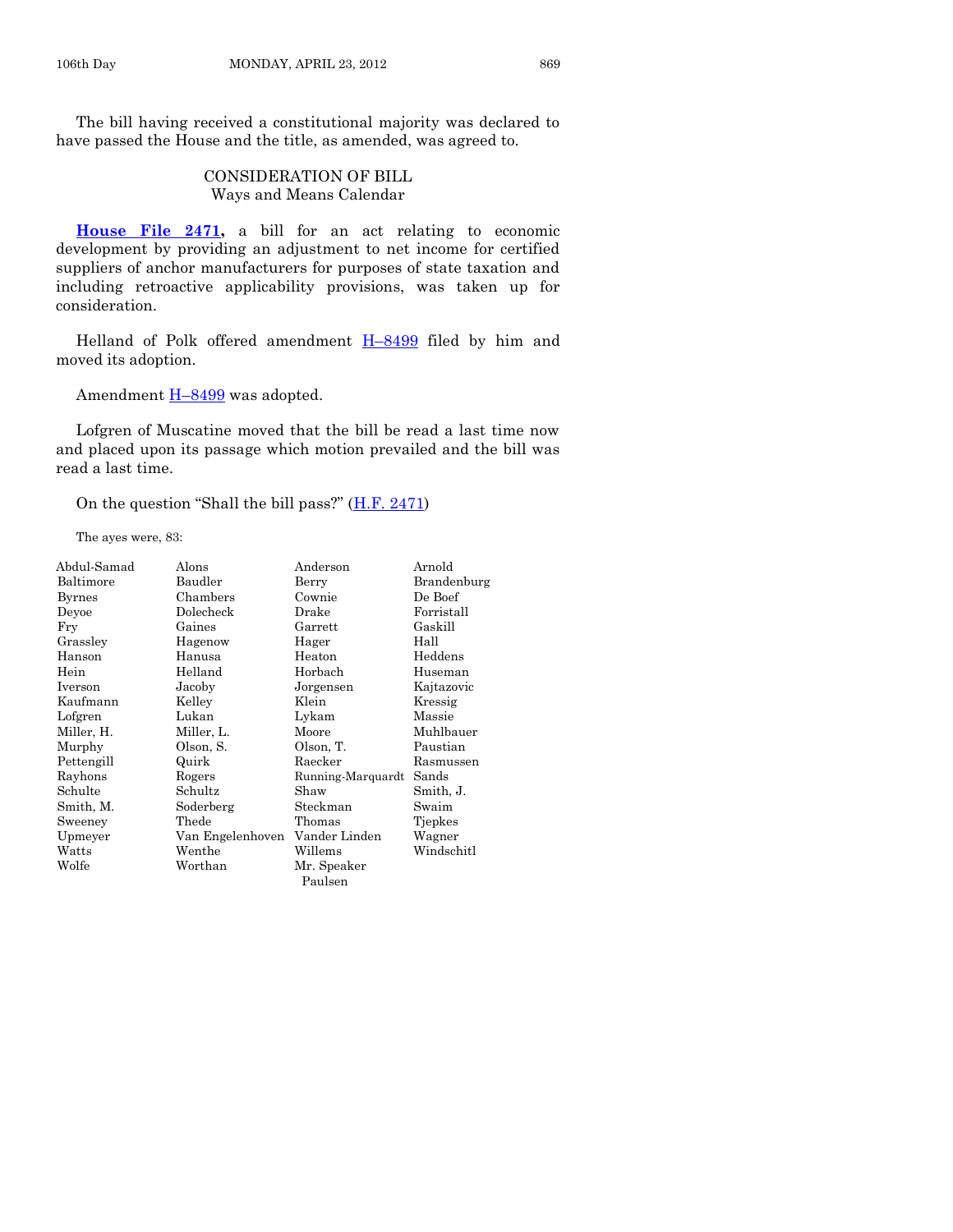The bill having received a constitutional majority was declared to have passed the House and the title, as amended, was agreed to.

# CONSIDERATION OF BILL Ways and Means Calendar

**[House File 2471,](http://coolice.legis.state.ia.us/Cool-ICE/default.asp?Category=billinfo&Service=Billbook&frame=1&GA=84&hbill=HF2471)** a bill for an act relating to economic development by providing an adjustment to net income for certified suppliers of anchor manufacturers for purposes of state taxation and including retroactive applicability provisions, was taken up for consideration.

Helland of Polk offered amendment  $H-8499$  $H-8499$  filed by him and moved its adoption.

Amendment  $H-8499$  $H-8499$  was adopted.

Lofgren of Muscatine moved that the bill be read a last time now and placed upon its passage which motion prevailed and the bill was read a last time.

On the question "Shall the bill pass?" ([H.F. 2471\)](http://coolice.legis.state.ia.us/Cool-ICE/default.asp?Category=billinfo&Service=Billbook&frame=1&GA=84&hbill=HF2471)

The ayes were, 83:

| Abdul-Samad | Alons            | Anderson          | Arnold      |
|-------------|------------------|-------------------|-------------|
| Baltimore   | Baudler          | Berry             | Brandenburg |
| Byrnes      | Chambers         | Cownie            | De Boef     |
| Deyoe       | Dolecheck        | Drake             | Forristall  |
| Fry         | Gaines           | Garrett           | Gaskill     |
| Grassley    | Hagenow          | Hager             | Hall        |
| Hanson      | Hanusa           | Heaton            | Heddens     |
| Hein        | Helland          | Horbach           | Huseman     |
| Iverson     | Jacoby           | Jorgensen         | Kajtazovic  |
| Kaufmann    | Kelley           | Klein             | Kressig     |
| Lofgren     | Lukan            | Lykam             | Massie      |
| Miller, H.  | Miller, L.       | Moore             | Muhlbauer   |
| Murphy      | Olson, S.        | Olson, T.         | Paustian    |
| Pettengill  | Quirk            | Raecker           | Rasmussen   |
| Rayhons     | Rogers           | Running-Marquardt | Sands       |
| Schulte     | Schultz          | Shaw              | Smith, J.   |
| Smith, M.   | Soderberg        | Steckman          | Swaim       |
| Sweeney     | Thede            | Thomas            | Tjepkes     |
| Upmeyer     | Van Engelenhoven | Vander Linden     | Wagner      |
| Watts       | Wenthe           | Willems           | Windschitl  |
| Wolfe       | Worthan          | Mr. Speaker       |             |
|             |                  | Paulsen           |             |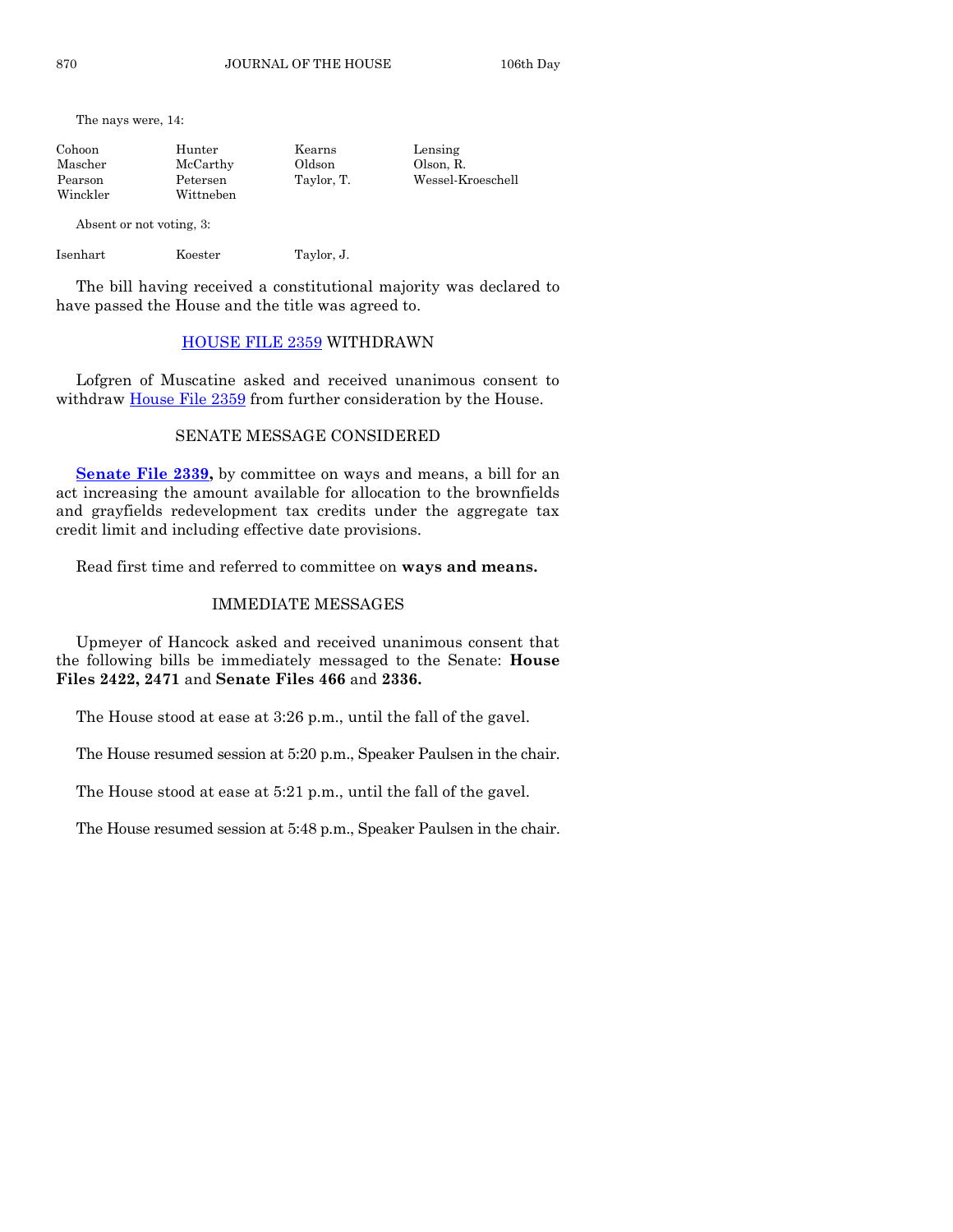The nays were, 14:

| Hunter    | Lensing                        |
|-----------|--------------------------------|
| McCarthy  | Olson, R.                      |
| Petersen  | Wessel-Kroeschell              |
| Wittneben |                                |
|           | Kearns<br>Oldson<br>Taylor, T. |

Absent or not voting, 3:

Isenhart Koester Taylor, J.

The bill having received a constitutional majority was declared to have passed the House and the title was agreed to.

# [HOUSE FILE 2359](http://coolice.legis.state.ia.us/Cool-ICE/default.asp?Category=billinfo&Service=Billbook&frame=1&GA=84&hbill=HF2359) WITHDRAWN

Lofgren of Muscatine asked and received unanimous consent to withdraw [House File 2359](http://coolice.legis.state.ia.us/Cool-ICE/default.asp?Category=billinfo&Service=Billbook&frame=1&GA=84&hbill=HF2359) from further consideration by the House.

# SENATE MESSAGE CONSIDERED

**[Senate File 2339,](http://coolice.legis.state.ia.us/Cool-ICE/default.asp?Category=billinfo&Service=Billbook&frame=1&GA=84&hbill=SF2339)** by committee on ways and means, a bill for an act increasing the amount available for allocation to the brownfields and grayfields redevelopment tax credits under the aggregate tax credit limit and including effective date provisions.

Read first time and referred to committee on **ways and means.**

# IMMEDIATE MESSAGES

Upmeyer of Hancock asked and received unanimous consent that the following bills be immediately messaged to the Senate: **House Files 2422, 2471** and **Senate Files 466** and **2336.**

The House stood at ease at 3:26 p.m., until the fall of the gavel.

The House resumed session at 5:20 p.m., Speaker Paulsen in the chair.

The House stood at ease at 5:21 p.m., until the fall of the gavel.

The House resumed session at 5:48 p.m., Speaker Paulsen in the chair.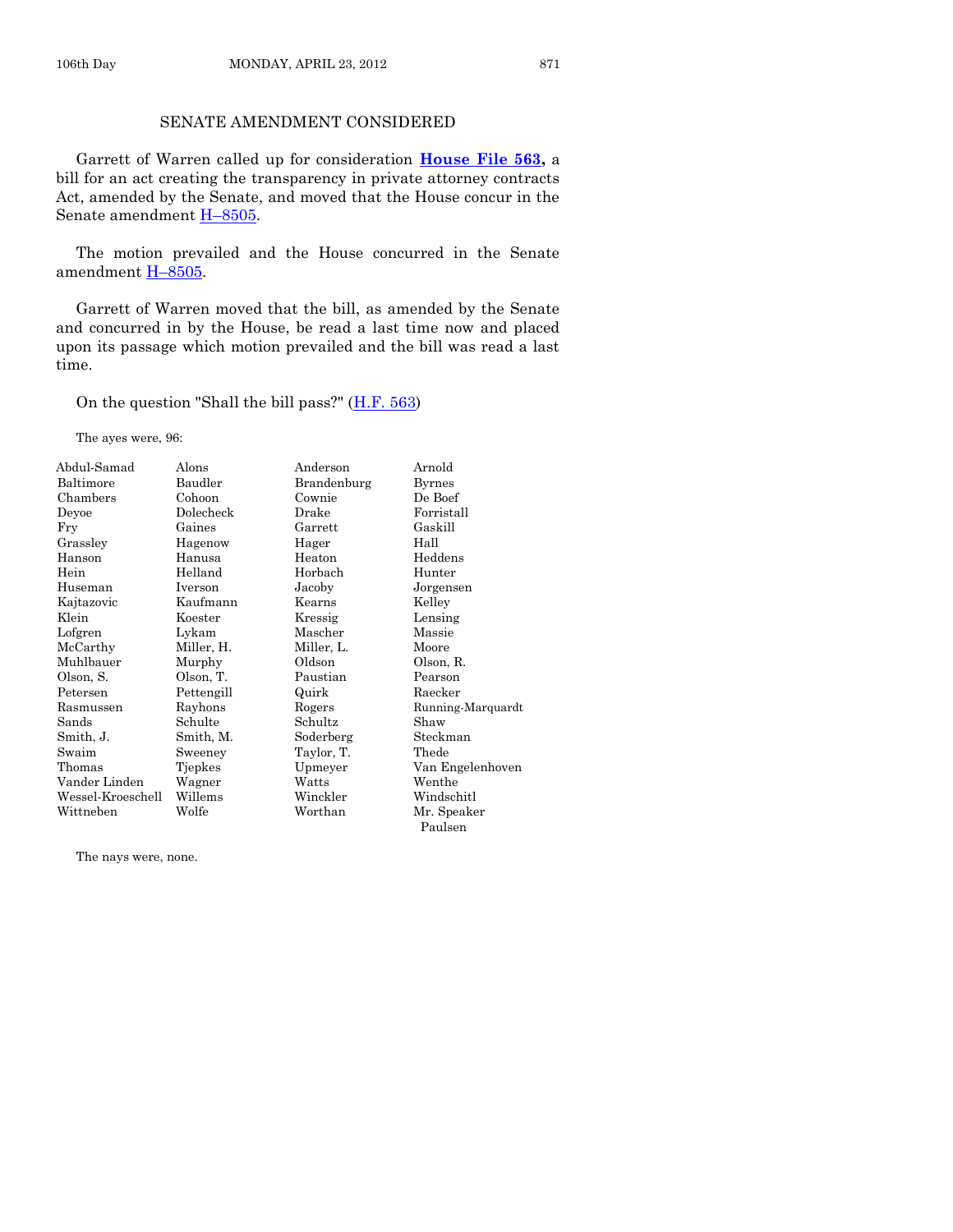# SENATE AMENDMENT CONSIDERED

Garrett of Warren called up for consideration **[House File 563,](http://coolice.legis.state.ia.us/Cool-ICE/default.asp?Category=billinfo&Service=Billbook&frame=1&GA=84&hbill=HF563)** a bill for an act creating the transparency in private attorney contracts Act, amended by the Senate, and moved that the House concur in the Senate amendment H–[8505.](http://coolice.legis.state.ia.us/Cool-ICE/default.asp?Category=billinfo&Service=Billbook&frame=1&GA=84&hbill=H8505)

The motion prevailed and the House concurred in the Senate amendment H–[8505.](http://coolice.legis.state.ia.us/Cool-ICE/default.asp?Category=billinfo&Service=Billbook&frame=1&GA=84&hbill=H8505)

Garrett of Warren moved that the bill, as amended by the Senate and concurred in by the House, be read a last time now and placed upon its passage which motion prevailed and the bill was read a last time.

On the question "Shall the bill pass?"  $(H.F. 563)$ 

The ayes were, 96:

| Abdul-Samad       | Alons          | Anderson    | Arnold            |
|-------------------|----------------|-------------|-------------------|
| Baltimore         | Baudler        | Brandenburg | <b>Byrnes</b>     |
| Chambers          | Cohoon         | Cownie      | De Boef           |
| Deyoe             | Dolecheck      | Drake       | Forristall        |
| Fry               | Gaines         | Garrett     | Gaskill           |
| Grasslev          | Hagenow        | Hager       | Hall              |
| Hanson            | Hanusa         | Heaton      | Heddens           |
| Hein              | Helland        | Horbach     | Hunter            |
| Huseman           | Iverson        | Jacoby      | Jorgensen         |
| Kajtazovic        | Kaufmann       | Kearns      | Kelley            |
| Klein             | Koester        | Kressig     | Lensing           |
| Lofgren           | Lykam          | Mascher     | Massie            |
| McCarthy          | Miller, H.     | Miller, L.  | Moore             |
| Muhlbauer         | Murphy         | Oldson      | Olson, R.         |
| Olson, S.         | Olson, T.      | Paustian    | Pearson           |
| Petersen          | Pettengill     | Quirk       | Raecker           |
| Rasmussen         | Rayhons        | Rogers      | Running-Marquardt |
| Sands             | Schulte        | Schultz     | Shaw              |
| Smith, J.         | Smith, M.      | Soderberg   | Steckman          |
| Swaim             | Sweeney        | Taylor, T.  | Thede             |
| Thomas            | <b>Tjepkes</b> | Upmeyer     | Van Engelenhoven  |
| Vander Linden     | Wagner         | Watts       | Wenthe            |
| Wessel-Kroeschell | Willems        | Winckler    | Windschitl        |
| Wittneben         | Wolfe          | Worthan     | Mr. Speaker       |
|                   |                |             | Paulsen           |

The nays were, none.